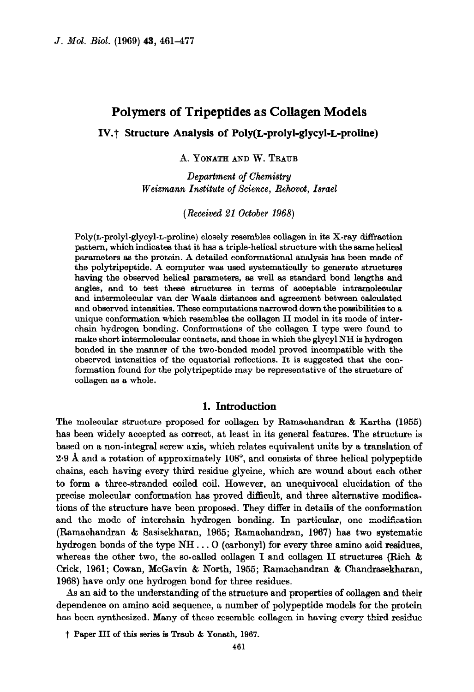# Polymers of Tripeptides as Collagen Models

## IV.? Structure Analysis of Poly(L-prolyl-glycyl-L-proline)

A. YONATH AND W. TRAUB

Department of Chemistry Weizmann Institute of Science, Rehovot, Israel

(Received 21 October 1968)

Poly(L-prolyl-glycyl-L-proline) closely resembles collagen in its X-ray diffraction pattern, which indicates that it has a triple-helical structure with the same helical parameters as the protein. A detailed conformational analysis has been made of the polytripeptide. A computer was used systematically to generate structures having the observed helical parameters, as well as standard bond lengths and angles, and to test these structures in terms of acceptable intramolecular and intermolecular van der Waals distances and agreement between calculated and observed intensities. These computations narrowed down the possibilities to a unique conformation which resembles the collagen II model in its mode of interchain hydrogen bonding. Conformations of the collagen I type were found to make short intermolecular contacts, and those in which the glycyl NH is hydrogen bonded in the manner of the two-bonded model proved incompatible with the observed intensities of the equatorial reflections. It is suggested that the conformation found for the polytripeptide may be representative of the structure of collagen as a whole.

## 1. Introduction

The molecular structure proposed for collagen by Ramachandran & Kartha (1955) has been widely accepted as correct, at least in its general features. The structure is based on a non-integral screw axis, which relates equivalent units by a translation of 2.9 A and a rotation of approximately 108", and consists of three helical polypeptide chains, each having every third residue glycine, which are wound about each other to form a three-stranded coiled coil. However, an unequivocal elucidation of the precise molecular conformation has proved difficult, and three alternative modifications of the structure have been proposed. They differ in details of the conformation and the mode of interchain hydrogen bonding. In particular, one modification (Ramachandran & Sasisekharan, 1965; Ramachandran, 1967) has two systematic hydrogen bonds of the type NH. . . 0 (carbonyl) for every three amino acid residues, whereas the other two, the so-called collagen I and collagen II structures (Rich & Crick, 1961; Cowan, McGavin & North, 1955; Ramachandran & Chandrasekharan, 1968) have only one hydrogen bond for three residues.

As an aid to the understanding of the structure and properties of collagen and their dependence on amino acid sequence, a number of polypeptide models for the protein has been synthesized. Many of these resemble collagen in having every third residue

t Paper III of this series is Traub & Yonath, 1967.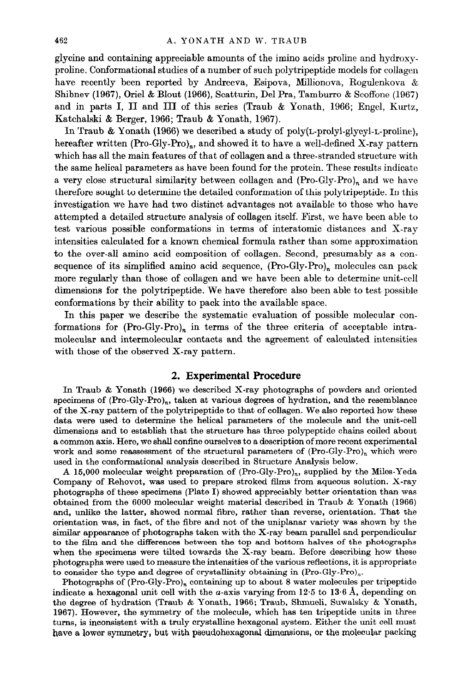glycine and containing appreciable amounts of the imino acids proline and hydroxyproline. Conformational studies of a number of such polytripeptide models for collagen have recently been reported by Andreeva, Esipova, Millionova, Rogulenkova & Shibnev (1967), Oriel & Blout (1966), Scatturin, Del Pra, Tamburro & Scoffone (1967) and in parts I, II and III of this series (Traub & Yonath, 1966; Engel, Kurtz, Katchalski & Berger, 1966; Traub & Yonath, 1967).

In Traub & Yonath (1966) we described a study of poly(L-prolyl-glycyl-L-proline), hereafter written  $(Pro-Gly-Pro)_n$ , and showed it to have a well-defined X-ray pattern which has all the main features of that of collagen and a three-stranded structure with the same helical parameters as have been found for the protein. These results indicate a very close structural similarity between collagen and  $(Pro-Gly-Pro)$ <sub>n</sub> and we have therefore sought to determine the detailed conformation of this polytripeptide. In this investigation we have had two distinct advantages not available to those who have attempted a detailed structure analysis of collagen itself. First, we have been able to test various possible conformations in terms of interatomic distances and X-ray intensities calculated for a known chemical formula rather than some approximation to the over-all amino acid composition of collagen. Second, presumably as a consequence of its simplified amino acid sequence, (Pro-Gly-Pro), molecules can pack more regularly than those of collagen and we have been able to determine unit-cell dimensions for the polytripeptide. We have therefore also been able to test possible conformations by their ability to pack into the available space.

In this paper we describe the systematic evaluation of possible molecular conformations for  $(Pro-Gly-Pro)<sub>n</sub>$  in terms of the three criteria of acceptable intramolecular and intermolecular contacts and the agreement of calculated intensities with those of the observed X-ray pattern.

## 2. Experimental Procedure

In Traub & Yonath (1966) we described X-ray photographs of powders and oriented specimens of (Pro-Gly-Pro),, taken at various degrees of hydration, and the resemblance of the X-ray pattern of the polytripeptide to that of collagen. We also reported how these data were used to determine the helical parameters of the molecule and the unit-cell dimensions and to establish that the structure has three polypeptide chains coiled about a common axis. Here, we shall confine ourselves to a description of more recent experimental work and some reassessment of the structural parameters of  $(Pro-Gly-Pro)<sub>n</sub>$  which were used in the conformational analysis described in Structure Analysis below.

A 16,000 molecular weight preparation of (Pro-Gly-Pro),, supplied by the Miles-Yeda Company of Rehovot, was used to prepare stroked films from aqueous solution. X-ray photographs of these specimens (Plate I) showed appreciably better orientation than was obtained from the 6000 molecular weight material described in Traub & Yonath (1966) and, unlike the latter, showed normal fibre, rather than reverse, orientation. That the orientation was, in fact, of the fibre and not of the uniplanar variety was shown by the similar appearance of photographs taken with the X-ray beam parallel and perpendicular to the film and the differences between the top and bottom halves of the photographs when the specimens were tilted towards the X-ray beam. Before describing how these photographs were used to measure the intensities of the various reflections, it is appropriate to consider the type and degree of crystallinity obtaining in  $(Pro-Gly-Pro)_n$ .

Photographs of  $(Pro-Gly-Pro)<sub>n</sub>$  containing up to about 8 water molecules per tripeptide indicate a hexagonal unit cell with the *a*-axis varying from  $12.5$  to  $13.6$  Å, depending on the degree of hydration (Traub & Yonath, 1966; Traub, Shmueli, Suwalsky & Yonath, 1967). However, the symmetry of the molecule, which has ten tripeptide units in three turns, is inconsistent with a truly crystalline hexagonal system. Either the unit cell must have a lower symmetry, but with pseudohexagonal dimensions, or the molecular packing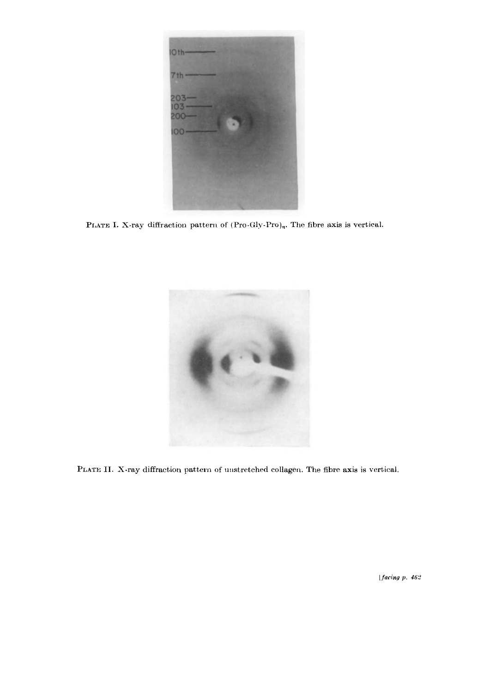

PLATE I. X-ray diffraction pattern of  $(Pro-Gly-Pro)<sub>n</sub>$ . The fibre axis is vertical.



PLATE II. X-ray diffraction pattern of unstretched collagen. The fibre axis is vertical.

[ $facing\ p.$  462]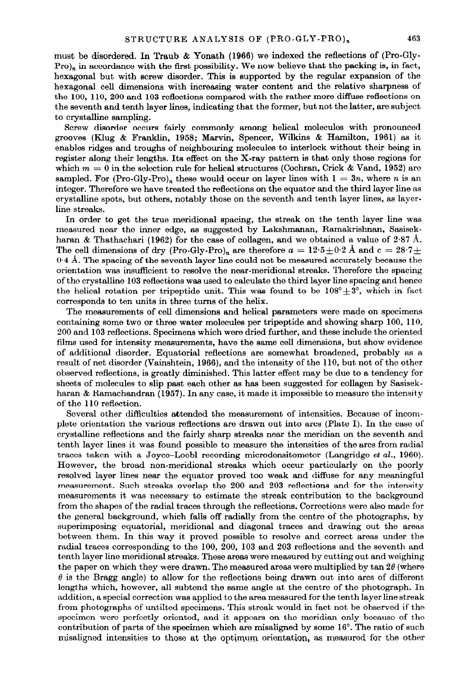must be disordered. In Traub & Yonath (1966) we indexed the reflections of (Pro-Gly-Pro)<sub>n</sub> in accordance with the first possibility. We now believe that the packing is, in fact, hexagonal but with screw disorder. This is supported by the regular expansion of the hexagonal cell dimensions with increasing water content and the relative sharpness of the 100, 110, 200 and 103 reflections compared with the rather more diffuse reflections on the seventh and tenth layer lines, indicating that the former, but not the latter, are subject to crystalline sampling.

Screw disorder occurs fairly commonly among helical molecules with pronounced grooves (Klug & Franklin, 1958; Marvin, Spencer, Wilkins & Hamilton, 1961) as it enables ridges and troughs of neighbouring molecules to interlock without their being in register along their lengths. Its effect on the X-ray pattern is that only those regions for which  $m = 0$  in the selection rule for helical structures (Cochran, Crick & Vand, 1952) are sampled. For (Pro-Gly-Pro)<sub>n</sub> these would occur on layer lines with  $1 = 3n$ , where n is an integer. Therefore we have treated the reflections on the equator and the third layer line as crystalline spots, but others, notably those on the seventh and tenth layer lines, as layerline streaks.

In order to get the true meridional spacing, the streak on the tenth layer line was measured near the inner edge, as suggested by Lakshmanan, Ramakrishnan, Sasisekharan & Thathachari (1962) for the case of collagen, and we obtained a value of 2.87 Å. The cell dimensions of dry (Pro-Gly-Pro)<sub>n</sub> are therefore  $a = 12.5 \pm 0.2$  Å and  $c = 28.7 \pm$  $0.4$  Å. The spacing of the seventh layer line could not be measured accurately because the orientation was insufficient to resolve the near-meridional streaks. Therefore the spacing of the crystalline 103 reflections was used to calculate the third layer line spacing and hence the helical rotation per tripeptide unit. This was found to be  $108^{\circ} \pm 3^{\circ}$ , which in fact corresponds to ten units in three turns of the helix.

The measurements of cell dimensions and helical parameters were made on specimens containing some two or three water molecules per tripeptide and showing sharp 100, 110, 200 and 103 reflections. Specimens which were dried further, and these include the oriented films used for intensity measurements, have the same cell dimensions, but show evidence of additional disorder. Equatorial reflections are somewhat broadened, probably as a result of net disorder (Vainshtein, 1966), and the intensity of the 110, but not of the other observed reflections, is greatly diminished. This latter effect may be due to a tendency for sheets of molecules to slip past each other as has been suggested for collagen by Sasisekharan & Ramachandran (1957). In any case, it made it impossible to measure the intensity of the 110 reflection.

Several other difficulties attended the measurement of intensities. Because of incomplete orientation the various reflections are drawn out into arcs (Plate I). In the case of crystalline reflections and the fairly sharp streaks near the meridian on the seventh and tenth layer lines it was found possible to measure the intensities of the arcs from radial traces taken with a Joyce-Loebl recording microdensitometer (Langridge et al., 1960). However, the broad non-meridional streaks which occur particularly on the poorly resolved layer lines near the equator proved too weak and diffuse for any meaningful measurement. Such streaks overlap the 200 and 203 reflections and for the intensity measurements it was necessary to estimate the streak contribution to the background from the shapes of the radial traces through the reflections. Corrections were also made for the general background, which falls off radially from the centre of the photographs, by superimposing equatorial, meridional and diagonal traces and drawing out the areas between them. In this way it proved possible to resolve and correct areas under the radial traces corresponding to the 100, 200, 103 and 203 reflections and the seventh and tenth layer line meridional streaks. These areas were measured by cutting out and weighing the paper on which they were drawn. The measured areas were multiplied by tan  $2\theta$  (where  $\theta$  is the Bragg angle) to allow for the reflections being drawn out into arcs of different lengths which, however, all subtend the same angle at the centre of the photograph. In addition, a special correction was applied to the area measured for the tenth layer line streak from photographs of untilted specimens. This streak would in fact not be observed if the specimen were perfectly oriented, and it appears on the meridian only because of the contribution of parts of the specimen which are misaligned by some 16". The ratio of such misaligned intensities to those at the optimum orientation, as measured for the other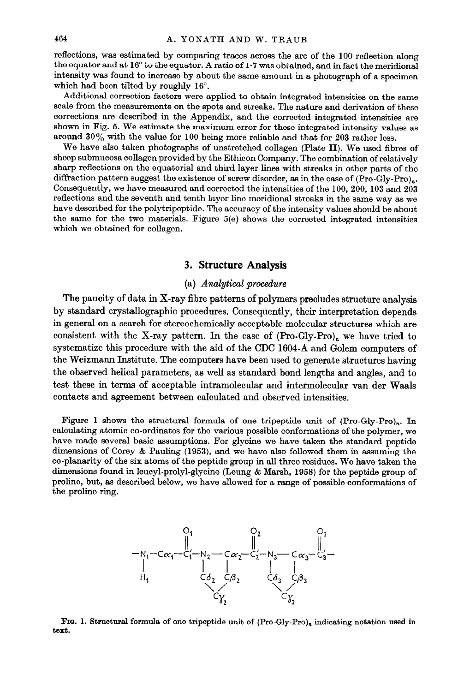reflections, was estimated by comparing traces across the arc of the 100 reflection along the equator and at 16' to the equator. A ratio of 1.7 was obtained, and in fact the meridional intensity was found to increase by about the same amount in a photograph of a specimen which had been tilted by roughly 16'.

Additional correction factors were applied to obtain integrated intensities on the same scale from the measurements on the spots and streaks. The nature and derivation of these corrections are described in the Appendix, and the corrected integrated intensities are shown in Fig. 5. We estimate the maximum error for these integrated intensity values as around  $30\%$  with the value for 100 being more reliable and that for 203 rather less.

We have also taken photographs of unstretched collagen (Plate II). We used fibres of sheep submucosa collagen provided by the Ethicon Company. The combination of relatively sharp reflections on the equatorid and third layer lines with streaks in other parts of the diffraction pattern suggest the existence of screw disorder, as in the case of (Pro-Gly-Pro)... Consequently, we have measured and corrected the intensities of the 100,200, 103 and 203 reflections and the seventh and tenth layer line meridional streaks in the same way as we have described for the polytripeptide. The accuracy of the intensity values should be about the same for the two materials. Figure  $5(e)$  shows the corrected integrated intensities which we obtained for collagen.

## 3. Structure Analysis

#### (a) Analytical procedure

The paucity of data in X-ray fibre patterns of polymers precludes structure analysis by standard crystallographic procedures. Consequently, their interpretation depends in general on a search for stereochemically acceptable molecular structures which are consistent with the X-ray pattern. In the case of  $(Pro-Gly-Pro)<sub>n</sub>$  we have tried to systematize this procedure with the aid of the CDC 1604-A and Golem computers of the Weizmann Institute. The computers have been used to generate structures having the observed helical parameters, as well as standard bond lengths and angles, and to test these in terms of acceptable intramolecular and intermolecular van der Waals contacts and agreement between calculated and observed intensities.

Figure 1 shows the structural formula of one tripeptide unit of  $(Pro-Gly-Pro)<sub>n</sub>$ . In calculating atomic co-ordinates for the various possible conformations of the polymer, we have made several basic assumptions. For glycine we have taken the standard peptide dimensions of Corey & Pauling (1953), and we have also followed them in assuming the co-planarity of the six atoms of the peptide group in all three residues. We have taken the dimensions found in leucyl-prolyl-glycine (Leung t Marsh, 1958) for the peptide group of proline, but, as described below, we have allowed for a range of possible conformations of the proline ring.



FIG. 1. Structural formula of one tripeptide unit of  $(Pro-Gly-Pro)_n$  indicating notation used in text.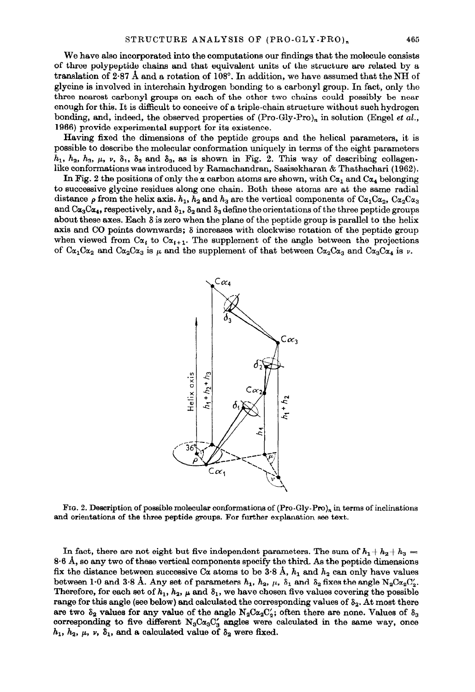We have also incorporated into the computations our findings that the molecule consists of three polypeptide chains and that equivalent units of the structure are related by a translation of 2.87 A and a rotation of 108". In addition, we have assumed that the NH of glycine is involved in interchain hydrogen bonding to a carbonyl group. In fact, only the three nearest carbonyl groups on each of the other two chains could possibly be near enough for this. It is difficult to conceive of a triple-chain structure without such hydrogen bonding, and, indeed, the observed properties of  $(Pro-Gly-Pro)_n$  in solution (Engel *et al.*, 1906) provide experimental support for its existence.

Having fixed the dimensions of the peptide groups and the helical parameters, it is possible to describe the molecular conformation uniquely in terms of the eight parameters  $h_1$ ,  $h_2$ ,  $h_3$ ,  $\mu$ ,  $\nu$ ,  $\delta_1$ ,  $\delta_2$  and  $\delta_3$ , as is shown in Fig. 2. This way of describing collagenlike conformations wss introduced by Ramachandran, Sasisekharan & Thathachari (1962).

In Fig. 2 the positions of only the  $\alpha$  carbon atoms are shown, with  $C_{\alpha_1}$  and  $C_{\alpha_4}$  belonging to successive glycine residues along one chain. Both these atoms are at the same radial distance  $\rho$  from the helix axis.  $h_1$ ,  $h_2$  and  $h_3$  are the vertical components of  $C\alpha_1C\alpha_2$ ,  $C\alpha_2C\alpha_3$ and  $Ca_3Ca_4$ , respectively, and  $\delta_1$ ,  $\delta_2$  and  $\delta_3$  define the orientations of the three peptide groups about these axes. Each  $\delta$  is zero when the plane of the peptide group is parallel to the helix axis and CO points downwards;  $\delta$  increases with clockwise rotation of the peptide group when viewed from  $C_{\alpha}$ , to  $C_{\alpha_{i+1}}$ . The supplement of the angle between the projections of  $\text{Ca}_1\text{Ca}_2$  and  $\text{Ca}_3\text{Ca}_3$  is  $\mu$  and the supplement of that between  $\text{Ca}_2\text{Ca}_3$  and  $\text{Ca}_3\text{Ca}_4$  is  $\nu$ .



FIG. 2. Description of possible molecular conformations of (Pro-Gly-Pro)<sub>n</sub> in terms of inclinations and orientations of the three peptide groups. For further explanation see text.

In fact, there are not eight but five independent parameters. The sum of  $h_1 + h_2 + h_3 =$ 8.6 A, so any two of these vertical components specify the third. As the peptide dimensions fix the distance between successive C<sub>a</sub> atoms to be 3.8 A,  $h_1$  and  $h_2$  can only have values between 1.0 and 3.8 Å. Any set of parameters  $h_1$ ,  $h_2$ ,  $\mu$ ,  $\delta_1$  and  $\delta_2$  fixes the angle N<sub>2</sub>C $\alpha_2$ C<sub>2</sub>. Therefore, for each set of  $h_1$ ,  $h_2$ ,  $\mu$  and  $\delta_1$ , we have chosen five values covering the possible range for this angle (see below) and calculated the corresponding values of  $\delta_2$ . At most there are two  $\delta_2$  values for any value of the angle  $N_2C\alpha_2C_2$ ; often there are none. Values of  $\delta_3$ corresponding to five different  $N_3C\alpha_3C'_3$  angles were calculated in the same way, once  $h_1$ ,  $h_2$ ,  $\mu$ ,  $\nu$ ,  $\delta_1$ , and a calculated value of  $\delta_2$  were fixed.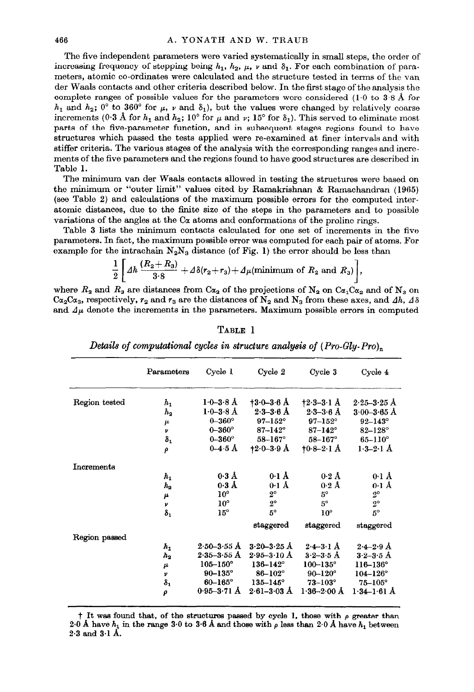The five independent parameters were varied systematically in small steps, the order of increasing frequency of stepping being  $h_1$ ,  $h_2$ ,  $\mu$ ,  $\nu$  and  $\delta_1$ . For each combination of parameters, atomic co-ordinates were calculated and the structure tested in terms of the van der Waals contacts and other criteria described below. In the first stage of the analysis the complete ranges of possible values for the parameters were considered (1.0 to 3.8 Å for  $h_1$  and  $h_2$ ; 0° to 360° for  $\mu$ , v and  $\delta_1$ ), but the values were changed by relatively coarse increments (0.3 Å for  $h_1$  and  $h_2$ ; 10° for  $\mu$  and  $\nu$ ; 15° for  $\delta_1$ ). This served to eliminate most parts of the five-parameter function, and in subsequent stages regions found to have structures which passed the tests applied were re-examined at finer intervals and with stiffer criteria. The various stages of the analysis with the corresponding ranges and increments of the five parameters and the regions found to have good structures are described in Table 1.

The minimum van der Waals contacts allowed in testing the structures were based on the minimum or "outer limit" values cited by Ramakrishnan & Ramachandran (1965) (see Table 2) and calculations of the maximum possible errors for the computed interatomic distances, due to the finite size of the steps in the parameters and to possible variations of the angles at the  $C\alpha$  atoms and conformations of the proline rings.

Table 3 lists the minimum contacts calculated for one set of increments in the five parameters. In fact, the maximum possible error was computed for each pair of atoms. For example for the intrachain  $N_2N_3$  distance (of Fig. 1) the error should be less than

$$
\frac{1}{2}\left[\Delta h\,\frac{(R_2+R_3)}{3\cdot 8}+\Delta\delta(r_2+r_3)+\Delta\mu(\text{minimum of }R_2\text{ and }R_3)\right],
$$

where  $R_2$  and  $R_3$  are distances from C $\alpha_2$  of the projections of N<sub>2</sub> on C $\alpha_1$ C $\alpha_2$  and of N<sub>3</sub> on  $Ca_2Ca_3$ , respectively,  $r_2$  and  $r_3$  are the distances of  $N_2$  and  $N_3$  from these axes, and  $\Delta h$ ,  $\Delta \delta$ and  $\Delta\mu$  denote the increments in the parameters. Maximum possible errors in computed

|               | Parameters       | Cycle 1             | Cycle 2             | Cycle 3                 | Cycle 4             |
|---------------|------------------|---------------------|---------------------|-------------------------|---------------------|
| Region tested | $h_1$            | $1.0 - 3.8$ Å       | $+3.0 - 3.6$ Å      | $+2.3-3.1$ Å            | $2.25 - 3.25$ Å     |
|               | $h_{\mathbf{2}}$ | $1.0 - 3.8$ Å       | $2.3 - 3.6$ Å       | $2-3-3-6$ Å             | $3.00 - 3.65$ Å     |
|               | $\mu$            | $0 - 360^{\circ}$   | $97 - 152^{\circ}$  | $97 - 152^{\circ}$      | $92 - 143^\circ$    |
|               | v                | $0 - 360^{\circ}$   | $87 - 142^{\circ}$  | $87 - 142^{\circ}$      | $82 - 128^{\circ}$  |
|               | $\delta_1$       | $0 - 360^\circ$     | $58 - 167^{\circ}$  | $58 - 167^{\circ}$      | $65 - 110^{\circ}$  |
|               | ρ                | $0 - 4.5$ Å         | $+2.0 - 3.9$ A      | $10.8 - 2.1$ Å          | $1.3 - 2.1$ A       |
| Increments    |                  |                     |                     |                         |                     |
|               | $h_{1}$          | $0.3$ Å             | $0.1 \text{ Å}$     | $0.2\;{\rm \AA}$        | $0.1$ A             |
|               | $h_{2}$          | $0.3$ Å             | $0.1 \text{ Å}$     | $0.2 \text{ Å}$         | $0.1 \text{ Å}$     |
|               | μ                | $10^{\circ}$        | $2^{\circ}$         | $5^\circ$               | $2^{\circ}$         |
|               | ν                | $10^{\circ}$        | $2^{\circ}$         | $5^\circ$               | $2^{\circ}$         |
|               | $\delta_1$       | $15^{\circ}$        | $5^\circ$           | $10^{\circ}$            | $5^\circ$           |
|               |                  |                     | staggered           | staggered               | staggered           |
| Region passed |                  |                     |                     |                         |                     |
|               | $h_{1}$          | $2.50 - 3.55$ Å     | $3.20 - 3.25$ Å     | $2-4-3-1$ $\AA$         | $2.4 - 2.9$ Å       |
|               | $h_{2}$          | $2.35 - 3.55$ Å     | $2.95 - 3.10$ Å     | $3.2 - 3.5$ Å           | $3-2-3-5$ Å         |
|               | μ                | $105 - 150^{\circ}$ | $136 - 142^{\circ}$ | $100 - 135^{\circ}$     | $116 - 136^{\circ}$ |
|               | ν                | $90 - 135^{\circ}$  | $86 - 102^{\circ}$  | $90 - 120^{\circ}$      | $104 - 126^{\circ}$ |
|               | $\delta_1$       | $60 - 165^{\circ}$  | $135 - 145^{\circ}$ | $73 - 103^{\circ}$      | $75 - 105^{\circ}$  |
|               | ρ                | $0.95 - 3.71$ Å     | $2.61 - 3.03$ Å     | $1.36 - 2.00 \text{ Å}$ | $1.34 - 1.61$ Å     |

TABLE 1 Details of computational cycles in structure analysis of  $(Pro-Gly-Pro)_{n}$ 

 $\dagger$  It was found that, of the structures passed by cycle 1, those with  $\rho$  greater than 2.0 Å have  $h_1$  in the range 3.0 to 3.6 Å and those with  $\rho$  less than 2.0 Å have  $h_1$  between 2.3 and 3.1 A.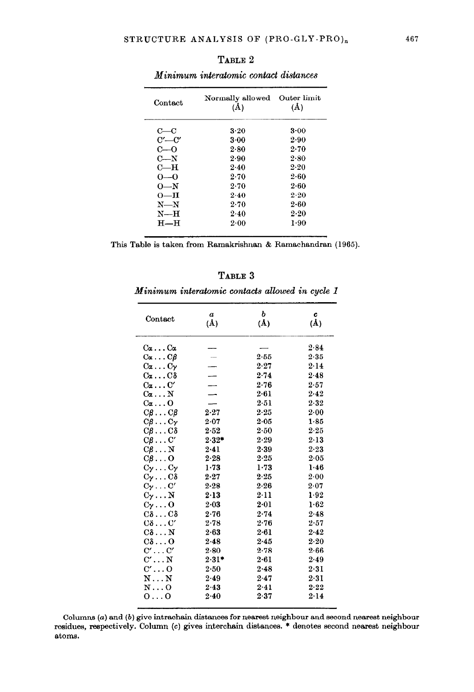| Contact       | Normally allowed<br>(Å) | Outer limit<br>(A) |
|---------------|-------------------------|--------------------|
| $_{\rm c- c}$ | $3-20$                  | $3-00$             |
| $C'$ — $C'$   | $3-00$                  | 2.90               |
| $C=0$         | 2.80                    | 2.70               |
| $C-N$         | 2.90                    | 2.80               |
| С—Н           | 2.40                    | 2.20               |
| $0-0$         | 2.70                    | $2 - 60$           |
| $0 - N$       | 2.70                    | $2 - 60$           |
| $O-H$         | 2.40                    | 2.20               |
| $N - N$       | 2.70                    | $2 - 60$           |
| $N=$ H        | 2.40                    | 2.20               |
| $H$ —H        | $2 - 00$                | 1.90               |
|               |                         |                    |

TABLE 2 Minimum interatomic contact distances

This Table is taken from Ramakrishnan & Ramachandran (1965).

| BL)<br>ю |  |
|----------|--|
|----------|--|

## Minimum interatomic contacts allowed in cycle 1

| Contact                                    | $\boldsymbol{a}$<br>(Å) | ь<br>$(\Lambda)$ | c<br>$(\AA)$ |
|--------------------------------------------|-------------------------|------------------|--------------|
| $\mathrm{C}\alpha \ldots \mathrm{C}\alpha$ |                         |                  | 2.84         |
| $C_{\alpha} \ldots C_{\beta}$              |                         | 2.55             | 2.35         |
| $C\alpha \ldots C\gamma$                   |                         | 2.27             | 2.14         |
| $C\alpha \ldots C\delta$                   |                         | 2.74             | 2.48         |
| $C\alpha \ldots C'$                        |                         | 2.76             | 2.57         |
| $\rm Ca \ldots N$                          |                         | 2.61             | 2.42         |
| $\mathrm{C}\alpha \ldots \mathrm{O}$       |                         | 2.51             | 2.32         |
| $C\beta \ldots C\beta$                     | $2 - 27$                | 2.25             | 2.00         |
| $C\beta \ldots C\gamma$                    | 2.07                    | 2.05             | 1.85         |
| $C\beta \ldots C\delta$                    | $2 - 52$                | 2.50             | 2.25         |
| $C\beta \ldots C'$                         | $2.32*$                 | 2.29             | 2.13         |
| $C\beta \ldots N$                          | $2 - 41$                | 2.39             | 2.23         |
| $C\beta \ldots O$                          | $2 - 28$                | $2 - 25$         | 2.05         |
| $C_{\gamma} \ldots C_{\gamma}$             | $1 - 73$                | $1 - 73$         | 1.46         |
| $C_{\gamma}$ C $\delta$                    | $2 - 27$                | 2.25             | $2 - 00$     |
| $C_{\gamma} \ldots C'$                     | $2 - 28$                | 2.26             | 2.07         |
| $C_{\mathcal{V}}\ldots\mathrm{N}$          | 2.13                    | 2.11             | 1.92         |
| $C_{\gamma} \ldots 0$                      | $2 - 03$                | 2.01             | 1.62         |
| $C\delta \ldots C\delta$                   | 2.76                    | $2 - 74$         | 2.48         |
| $C\delta \ldots C'$                        | 2.78                    | $2 - 76$         | 2.57         |
| $\texttt{C8} \dots \texttt{N}$             | 2.63                    | 2.61             | $2-42$       |
| $C\delta \ldots Q$                         | 2.48                    | 2.45             | $2\,20$      |
| $C' \ldots C'$                             | 2.80                    | 2.78             | 2.66         |
| $\mathrm{C'}\ldots\mathrm{N}$              | $2.31*$                 | $2 - 61$         | 2.49         |
| $\mathrm{C'}$ $\mathrm{O}$                 | 2.50                    | 2.48             | 2.31         |
| N N                                        | 2.49                    | 2.47             | 2.31         |
| $N \ldots 0$                               | 2.43                    | 2.41             | 2.22         |
| $0 \ldots 0$                               | 2.40                    | 2.37             | $2 - 14$     |
|                                            |                         |                  |              |

Columns (a) and (b) give intrachain distances for nearest neighbour and second nearest neighbour residues, respectively. Column (c) gives interchain distances. \* denotes second nearest neighbour atoms.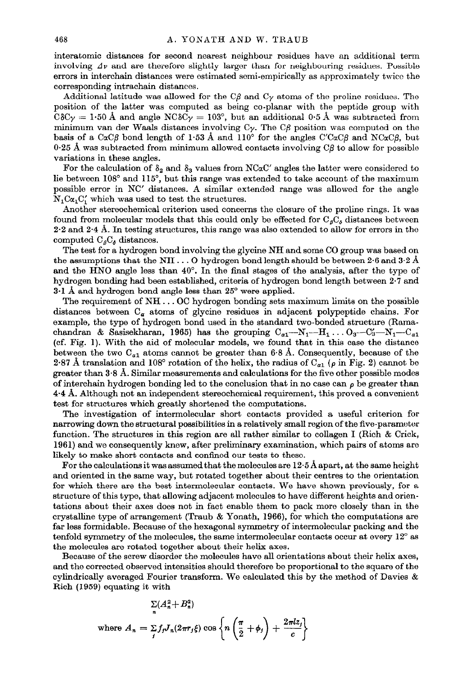interatomic distances for second nearest neighbour residues have an additional term involving  $\Delta y$  and are therefore slightly larger than for neighbouring residues. Possible errors in interchain distances were estimated semi-empirically as approximately twice the corresponding intrachain distances.

Additional latitude was allowed for the C $\beta$  and C<sub> $\gamma$ </sub> atoms of the proline residues. The position of the latter was computed as being co-planar with the peptide group with  $C\delta C_{\gamma} = 1.50$  Å and angle  $N\delta C_{\gamma} = 103^{\circ}$ , but an additional 0.5 Å was subtracted from minimum van der Waals distances involving  $C_{\gamma}$ . The C $\beta$  position was computed on the basis of a C $\alpha C\beta$  bond length of 1.53 Å and 110<sup>°</sup> for the angles C'C $\alpha C\beta$  and NC $\alpha C\beta$ , but  $0.25$  Å was subtracted from minimum allowed contacts involving C $\beta$  to allow for possible variations in these angles.

For the calculation of  $\delta_2$  and  $\delta_3$  values from NCaC' angles the latter were considered to lie between 108' and 115', but this range was extended to take account of the maximum possible error in NC' distances. A similar extended range was allowed for the angle  $N_1C\alpha_1C'_1$  which was used to test the structures.

Another stereochemical criterion used concerns the closure of the proline rings. It was found from molecular models that this could only be effected for  $C_{\beta}C_{\delta}$  distances between  $2.2$  and  $2.4$  Å. In testing structures, this range was also extended to allow for errors in the computed  $C_{\beta}C_{\delta}$  distances.

The test for a hydrogen bond involving the glycine NH and some CO group was based on the assumptions that the NH  $\dots$  O hydrogen bond length should be between 2.6 and 3.2 Å and the HNO angle less than  $40^{\circ}$ . In the final stages of the analysis, after the type of hydrogen bonding had been established, criteria of hydrogen bond length between 2.7 and  $3·1$  Å and hydrogen bond angle less than  $25°$  were applied.

The requirement of NH. . . OC hydrogen bonding sets maximum limits on the possible distances between  $C_{\alpha}$  atoms of glycine residues in adjacent polypeptide chains. For example, the type of hydrogen bond used in the standard two-bonded structure (Ramachandran & Sasisekharan, 1965) has the grouping  $C_{a1}-N_1-N_1$ ...  $O_3-C_3-N_1-C_{a1}$ (cf. Fig. 1). With the aid of molecular models, we found that in this case the distance between the two  $C_{a1}$  atoms cannot be greater than 6.8 Å. Consequently, because of the 2.87 Å translation and 108° rotation of the helix, the radius of  $C_{a1}$  ( $\rho$  in Fig. 2) cannot be greater than 3.8 A. Similar measurements and calculations for the five other possible modes of interchain hydrogen bonding led to the conclusion that in no case can  $\rho$  be greater than 4-4 A. Although not an independent stereochemical requirement, this proved a convenient test for structures which greatly shortened the computations.

The investigation of intermolecular short contacts provided a useful criterion for narrowing down the structural possibilities in a relatively small region of the five-parameter function. The structures in this region are all rather similar to collagen I (Rich & Crick, 1961) and we consequently knew, after preliminary examination, which pairs of atoms are likely to make short contacts and confined our tests to these.

For the calculations it was assumed that the molecules are 12.5 A apart, at the same height and oriented in the same way, but rotated together about their centres to the orientation for which there are the best intermolecular contacts. We have shown previously, for a structure of this type, that allowing adjacent molecules to have different heights and orientations about their axes does not in fact enable them to pack more closely than in the crystalline type of arrangement (Traub & Yonath, 1966), for which the computations are far less formidable. Because of the hexagonal symmetry of intermolecular packing and the tenfold symmetry of the molecules, the same intermolecular contacts occur at every 12" as the molecules are rotated together about their helix axes.

Because of the screw disorder the molecules have all orientations about their helix axes, and the corrected observed intensities should therefore be proportional to the square of the cylindrically averaged Fourier transform. We calculated this by the method of Davies & Rich (1959) equating it with

$$
\sum_{n} (A_n^2 + B_n^2)
$$
  
where  $A_n = \sum_j f_j J_n(2\pi r_j \xi) \cos \left\{ n \left( \frac{\pi}{2} + \phi_j \right) + \frac{2\pi l z_j}{c} \right\}$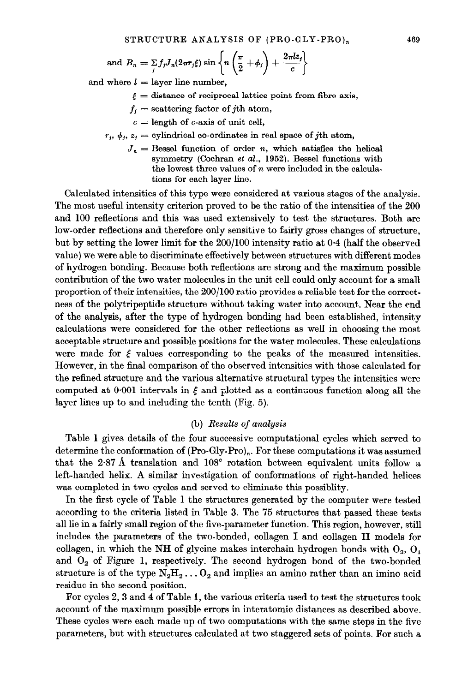and 
$$
B_n = \sum_j f_j J_n(2\pi r_j \xi) \sin \left\{ n \left( \frac{\pi}{2} + \phi_j \right) + \frac{2\pi l z_j}{c} \right\}
$$

and where  $l =$  layer line number,

- $\xi$  = distance of reciprocal lattice point from fibre axis,
- $f_i$  = scattering factor of *j*th atom,
- $c =$  length of c-axis of unit cell,
- $r_i$ ,  $\phi_i$ ,  $z_i$  = cylindrical co-ordinates in real space of *j*th atom,
	- $J_n$  = Bessel function of order n, which satisfies the helical symmetry (Cochran et  $al$ , 1952). Bessel functions with the lowest three values of  $n$  were included in the calculations for each layer line.

Calculated intensities of this type were considered at various stages of the analysis. The most useful intensity criterion proved to be the ratio of the intensities of the 200 and 100 reflections and this was used extensively to test the structures. Both are low-order reflections and therefore only sensitive to fairly gross changes of structure, but by setting the lower limit for the 200/100 intensity ratio at O-4 (half the observed value) we were able to discriminate effectively between structures with different modes of hydrogen bonding. Because both reflections are strong and the maximum possible contribution of the two water molecules in the unit cell could only account for a small proportion of their intensities, the ZOO/l00 ratio provides a reliable test for the correctness of the polytripeptide structure without taking water into account. Near the end of the analysis, after the type of hydrogen bonding had been established, intensity calculations were considered for the other reflections as well in choosing the most acceptable structure and possible positions for the water molecules. These calculations were made for  $\xi$  values corresponding to the peaks of the measured intensities. However, in the final comparison of the observed intensities with those calculated for the refined structure and the various alternative structural types the intensities were computed at  $0.001$  intervals in  $\xi$  and plotted as a continuous function along all the layer lines up to and including the tenth (Fig. 5).

#### (b) Results of analysis

Table 1 gives details of the four successive computational cycles which served to determine the conformation of  $(Pro-Gly-Pro)<sub>n</sub>$ . For these computations it was assumed that the 2.87 Å translation and  $108^{\circ}$  rotation between equivalent units follow a left-handed helix. A similar investigation of conformations of right-handed helices was completed in two cycles and served to eliminate this possiblity.

In the first cycle of Table 1 the structures generated by the computer were tested according to the criteria listed in Table 3. The 75 structures that passed these tests all lie in a fairly small region of the five-parameter function. This region, however, still includes the parameters of the two-bonded, collagen I and collagen II models for collagen, in which the NH of glycine makes interchain hydrogen bonds with  $O_3$ ,  $O_1$ and  $O<sub>2</sub>$  of Figure 1, respectively. The second hydrogen bond of the two-bonded structure is of the type  $N_2H_2 \ldots O_2$  and implies an amino rather than an imino acid residue in the second position.

For cycles 2, 3 and 4 of Table 1, the various criteria used to test the structures took account of the maximum possible errors in interatomic distances as described above. These cycles were each made up of two computations with the same steps in the five parameters, but with structures calculated at two staggered sets of points. For such a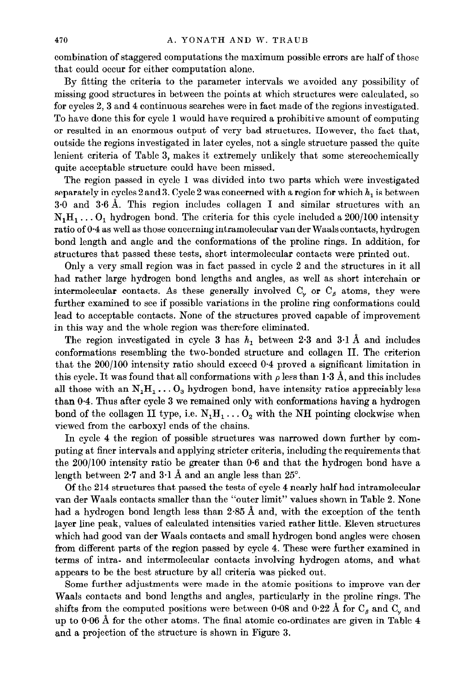combination of staggered computations the maximum possible errors are half of those that could occur for either computation alone.

By fitting the criteria to the parameter intervals we avoided any possibility of missing good structures in between the points at which structures were calculated, so for cycles 2,3 and 4 continuous searches were in fact made of the regions investigated. To have done this for cycle 1 would have required a prohibitive amount of computing or resulted in an enormous output of very bad structures. However, the fact that, outside the regions investigated in later cycles, not a single structure passed the quite lenient criteria of Table 3, makes it extremely unlikely that some stereochemically quite acceptable structure could have been missed.

The region passed in cycle 1 was divided into two parts which were investigated separately in cycles 2 and 3. Cycle 2 was concerned with a region for which  $h_1$  is between 3.0 and 3.6 A. This region includes collagen I and similar structures with an  $N_1H_1 \ldots O_1$  hydrogen bond. The criteria for this cycle included a 200/100 intensity ratio of 0.4 as well as those concerning intramolecular van der Waals contacts, hydrogen bond length and angle and the conformations of the proline rings. In addition, for structures that passed these tests, short intermolecular contacts were printed out.

Only a very small region was in fact passed in cycle 2 and the structures in it all had rather large hydrogen bond lengths and angles, as well as short interchain or intermolecular contacts. As these generally involved  $C_{\gamma}$  or  $C_{\beta}$  atoms, they were further examined to see if possible variations in the proline ring conformations could lead to acceptable contacts. None of the structures proved capable of improvement in this way and the whole region was therefore eliminated.

The region investigated in cycle 3 has  $h_1$  between 2.3 and 3.1 Å and includes conformations resembling the two-bonded structure and collagen II. The criterion that the 200/100 intensity ratio should exceed 0.4 proved a significant limitation in this cycle. It was found that all conformations with  $\rho$  less than 1.3 Å, and this includes all those with an  $N_1H_1 \ldots O_3$  hydrogen bond, have intensity ratios appreciably less than 0.4. Thus after cycle 3 we remained only with conformations having a hydrogen bond of the collagen II type, i.e.  $N_1H_1 \ldots O_2$  with the NH pointing clockwise when viewed from the carboxyl ends of the chains.

In cycle 4 the region of possible structures was narrowed down further by computing at finer intervals and applying stricter criteria, including the requirements that the 200/100 intensity ratio be greater than 0.6 and that the hydrogen bond have a length between  $2.7$  and  $3.1$  Å and an angle less than  $25^{\circ}$ .

Of the 214 structures that passed the tests of cycle 4 nearly half had intramolecular van der Waals contacts smaller than the "outer limit" values shown in Table 2. None had a hydrogen bond length less than 2.85 A and, with the exception of the tenth layer line peak, values of calculated intensities varied rather little. Eleven structures which had good van der Waals contacts and small hydrogen bond angles were chosen from different parts of the region passed by cycle 4. These were further examined in terms of intra- and intermolecular contacts involving hydrogen atoms, and what appears to be the best structure by all criteria was picked out.

Some further adjustments were made in the atomic positions to improve van der Waals contacts and bond lengths and angles, particularly in the proline rings. The shifts from the computed positions were between 0.08 and 0.22 Å for  $C_g$  and  $C_g$  and up to  $0.06$  Å for the other atoms. The final atomic co-ordinates are given in Table  $4$ and a projection of the structure is shown in Figure 3.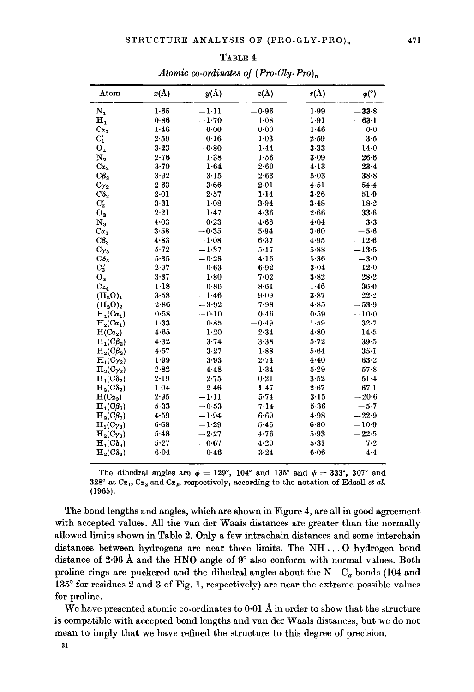| 120UU I<br>Atomic co-ordinates of $(Pro-Gly-Pro)_{n}$ |      |         |         |          |         |
|-------------------------------------------------------|------|---------|---------|----------|---------|
|                                                       |      |         |         |          |         |
| $\mathbf{I_{1}}$                                      | 1.65 | $-1:11$ | $-0.96$ | 1.99     | $-33.8$ |
| I,                                                    | 0.86 | $-1.70$ | $-1.08$ | 1.91     | $-63-1$ |
| $\alpha_{1}$                                          | 1.46 | 0.00    | 0.00    | 1.46     | $0-0$   |
| $\frac{1}{2}$                                         | 2.59 | 0.16    | $1-03$  | 2.59     | $3-5$   |
| )1                                                    | 3.23 | $-0.80$ | 1.44    | $3 - 33$ | $-14.0$ |
| J –                                                   | 9.76 | 1.28    | 1.56    | 3.00     | 98.B    |

TABLE 4 Atomic co-ordinates of  $(Pro-G)$ 

| $N_1$                     | 1.65     | $-1-11$ | $-0.96$  | 1.99     | $-33.8$  |
|---------------------------|----------|---------|----------|----------|----------|
| $\mathbf{H}_{\mathbf{1}}$ | 0.86     | $-1.70$ | $-1.08$  | 1.91     | $-63.1$  |
| $C\alpha_1$               | 1.46     | 0.00    | 0.00     | 1.46     | $0 - 0$  |
| $C'_{1}$                  | 2.59     | 0.16    | $1-03$   | 2.59     | $3-5$    |
| 0 <sub>1</sub>            | 3.23     | $-0.80$ | 1.44     | $3 - 33$ | $-14.0$  |
| $\mathbf{N}_2$            | $2 - 76$ | 1.38    | 1.56     | 3.09     | $26 - 6$ |
| Ca <sub>2</sub>           | $3 - 79$ | 1.64    | $2 - 60$ | 4.13     | $23 - 4$ |
| $C\beta_2$                | 3.92     | 3.15    | 2.63     | 5.03     | 38.8     |
| $C_{Y_2}$                 | $2 - 63$ | 3.66    | 2.01     | 4.51     | $54 - 4$ |
| $C\delta_2$               | $2-01$   | 2.57    | 1.14     | 3.26     | $51-9$   |
| $C_{2}'$                  | 3.31     | 1.08    | 3.94     | 3.48     | 18.2     |
| $0_{2}$                   | 2.21     | 1.47    | 4.36     | 2.66     | 33.6     |
| $N_3$                     | 4.03     | 0.23    | 4.66     | 4.04     | 3.3      |
| $\alpha_3$                | 3.58     | $-0.35$ | 5.94     | 3.60     | $-5.6$   |
| $C\beta_3$                | 4.83     | $-1.08$ | 6.37     | 4.95     | $-12.6$  |
| $C_{\gamma_3}$            | $5 - 72$ | $-1.37$ | 5.17     | 5.88     | $-13.5$  |
| $C\delta_3$               | $5 - 35$ | $-0.28$ | 4.16     | 5.36     | $-3.0$   |
| $C'_{3}$                  | 2.97     | 0.63    | 6.92     | 3.04     | 12.0     |
| $O_3$                     | 3.37     | $1-80$  | 7.02     | 3.82     | 28.2     |
| Ca <sub>4</sub>           | 1.18     | 0.86    | 8.61     | 1.46     | $36-0$   |
| $(H_2O)_1$                | 3.58     | $-1.46$ | 9.09     | 3.87     | $-22.2$  |
| $(H_2O)_2$                | 2.86     | $-3.92$ | 7.98     | 4.85     | $-53.9$  |
| $H_1(C\alpha_1)$          | 0.58     | $-0.10$ | 0.46     | 0.59     | $-10.0$  |
| $H_2(C\alpha_1)$          | 1.33     | 0.85    | $-0.49$  | 1.59     | $32 - 7$ |
| $H(C\alpha_2)$            | 4.65     | 1.20    | 2.34     | 4.80     | 14.5     |
| $H_1(C\beta_2)$           | 4.32     | 3.74    | 3.38     | $5 - 72$ | 39.5     |
| $H_2(C\beta_2)$           | 4.57     | 3.27    | 1.88     | 5.64     | $35-1$   |
| $H_1(C_{\gamma_2})$       | 1.99     | 3.93    | 2.74     | 4.40     | 63-2     |
| $H_2(C_{12})$             | 2.82     | 4.48    | 1.34     | $5 - 29$ | $57-8$   |
| $H_1(C\delta_2)$          | 2.19     | 2.75    | 0.21     | 3.52     | $51-4$   |
| $H_2(C\delta_2)$          | 1.04     | 2.46    | 1.47     | 2.67     | 67.1     |
| $H(C\alpha_3)$            | 2.95     | $-1:11$ | $5 - 74$ | 3.15     | $-20.6$  |
| $H_1(C\beta_3)$           | 5.33     | $-0.53$ | 7.14     | 5.36     | $-5.7$   |
| $H_2(C\beta_3)$           | 4.59     | $-1.94$ | 6.69     | 4.98     | $-22.9$  |
| $H_1(C_{\gamma_3})$       | 6.68     | $-1.29$ | 5.46     | 6.80     | $-10.9$  |
| $H_2(C_{\gamma_3})$       | 5.48     | $-2.27$ | 4.76     | 5.93     | $-22.5$  |
| $H_1(C\delta_3)$          | $5 - 27$ | $-0.67$ | $4 - 20$ | 5.31     | 7.2      |
| $H_2(C\delta_3)$          | 6.04     | 0.46    | 3.24     | 6.06     | 4.4      |

The dihedral angles are  $\phi = 129^{\circ}$ , 104° and 135° and  $\psi = 333^{\circ}$ , 307° and 328° at C $\alpha_1$ , C $\alpha_2$  and C $\alpha_3$ , respectively, according to the notation of Edsall et al. (1965).

The bond lengths and angles, which are shown in Figure 4, are all in good agreement with accepted values. All the van der Waals distances are greater than the normally allowed limits shown in Table 2. Only a few intrachain distances and some interchain distances between hydrogens are near these limits. The NH. . . 0 hydrogen bond distance of 2.96 Å and the HNO angle of 9° also conform with normal values. Both proline rings are puckered and the dihedral angles about the  $N-C_{\alpha}$  bonds (104 and 135" for residues 2 and 3 of Fig. 1, respectively) are near the extreme possible values for proline.

We have presented atomic co-ordinates to  $0.01 \text{ Å}$  in order to show that the structure is compatible with accepted bond lengths and van der Waals distances, but we do not mean to imply that we have refined the structure to this degree of precision.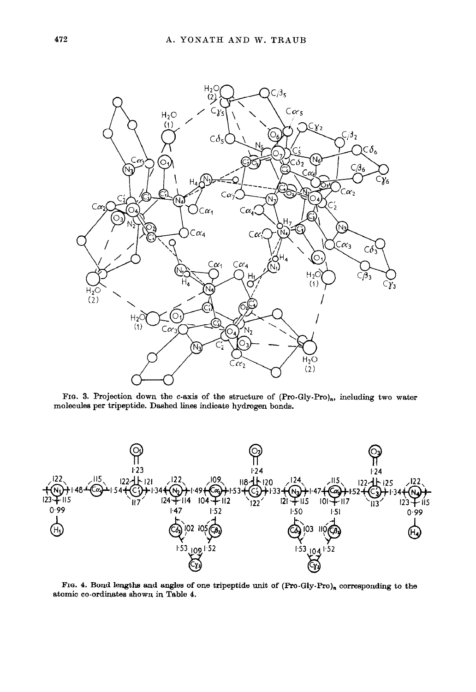

FIG. 3. Projection down the c-axis of the structure of  $(Pro-Gly-Pro)_n$ , including two water molecules per tripeptide. Dashed lines indicate hydrogen bonds.



FIG. 4. Bond lengths and angles of one tripeptide unit of  $(Pro-Gly-Pro)_n$  corresponding to the atomic co-ordinates shown in Table 4.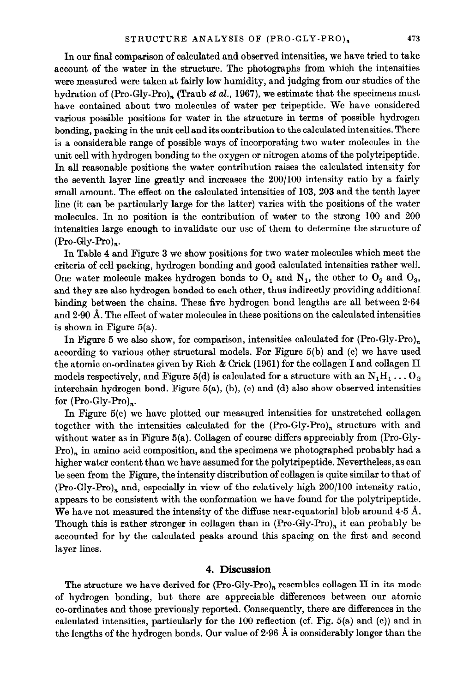In our final comparison of calculated and observed intensities, we have tried to take account of the water in the structure. The photographs from which the intensities were measured were taken at fairly low humidity, and judging from our studies of the hydration of  $(Pro-Gly-Pro)_n$  (Traub *et al.*, 1967), we estimate that the specimens must have contained about two molecules of water per tripeptide. We have considered various possible positions for water in the structure in terms of possible hydrogen bonding, packing in the unit cellandits contribution to the calculated intensities. There is a considerable range of possible ways of incorporating two water molecules in the unit cell with hydrogen bonding to the oxygen or nitrogen atoms of the polytripeptide. In all reasonable positions the water contribution raises the calculated intensity for the seventh layer line greatly and increases the 200/100 intensity ratio by a fairly small amount. The effect on the calculated intensities of 103, 203 and the tenth layer line (it can be particularly large for the latter) varies with the positions of the water molecules. In no position is the contribution of water to the strong 100 and 200 intensities large enough to invalidate our use of them to determine the structure of  $(Pro-Gly-Pro)<sub>n</sub>$ .

In Table 4 and Figure 3 we show positions for two water molecules which meet the criteria of cell packing, hydrogen bonding and good calculated intensities rather well. One water molecule makes hydrogen bonds to  $O_1$  and  $N_1$ , the other to  $O_2$  and  $O_3$ , and they are also hydrogen bonded to each other, thus indirectly providing additional binding between the chains. These five hydrogen bond lengths are all between 2.64 and  $2.90 \text{ Å}$ . The effect of water molecules in these positions on the calculated intensities is shown in Figure 5(a).

In Figure 5 we also show, for comparison, intensities calculated for  $(Pro-Gly-Pro)_n$ according to various other structural models. For Figure 5(b) and (c) we have used the atomic co-ordinates given by Rich  $\&$  Crick (1961) for the collagen I and collagen II models respectively, and Figure 5(d) is calculated for a structure with an  $N_1H_1 \ldots O_3$ interchain hydrogen bond. Figure  $5(a)$ , (b), (c) and (d) also show observed intensities for  $(Pro-Gly-Pro)_{n}$ .

In Figure 5(e) we have plotted our measured intensities for unstretched collagen together with the intensities calculated for the  $(Pro-Gly-Pro)<sub>n</sub>$  structure with and without water as in Figure 5(a). Collagen of course differs appreciably from (Pro-Gly- $Pro)$ , in amino acid composition, and the specimens we photographed probably had a higher water content than we have assumed for the polytripeptide. Nevertheless, as can be seen from the Figure, the intensity distribution of collagen is quite similar to that of  $(Pro-Gly-Pro)<sub>n</sub>$  and, especially in view of the relatively high  $200/100$  intensity ratio, appears to be consistent with the conformation we have found for the polytripeptide. We have not measured the intensity of the diffuse near-equatorial blob around  $4.5 \text{ Å}.$ Though this is rather stronger in collagen than in  $(Pro-Gly-Pro)<sub>n</sub>$  it can probably be accounted for by the calculated peaks around this spacing on the first and second layer lines.

#### 4. Discussion

The structure we have derived for  $(Pro-Gly-Pro)_n$  resembles collagen II in its mode of hydrogen bonding, but there are appreciable differences between our atomic co-ordinates and those previously reported. Consequently, there are differences in the calculated intensities, particularly for the 100 reflection (cf. Fig. 5(a) and (c)) and in the lengths of the hydrogen bonds. Our value of  $2.96$  Å is considerably longer than the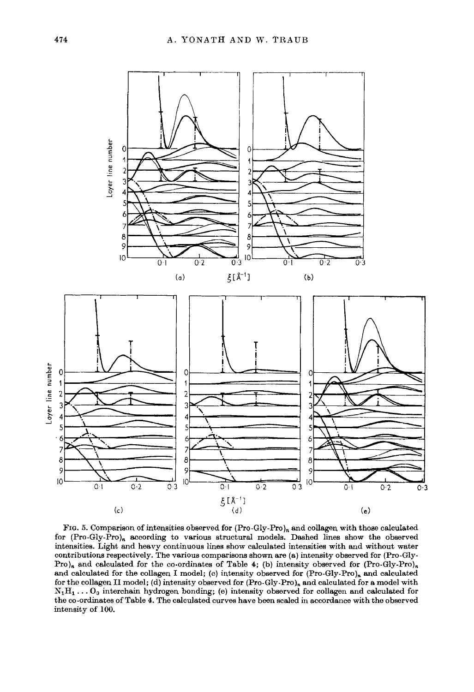

FIG. 5. Comparison of intensities observed for (Pro-Gly-Pro)<sub>n</sub> and collagen with those calculated for  $(Pro-Gly-Pro)$ , according to various structural models. Dashed lines show the observed intensities. Light and heavy continuous lines show calculated intensities with and without water contributions respectively. The various comparisons shown are (a) intensity observed for (Pro-Gly-Pro)<sub>n</sub> and calculated for the co-ordinates of Table 4; (b) intensity observed for  $(Pro-Gly-Pro)_{n}$ and calculated for the collagen I model; (c) intensity observed for  $(Pro-Gly-Pro)<sub>n</sub>$  and calculated for the collagen II model; (d) intensity observed for (Pro-Gly-Pro), and calculated for a model with  $N_1H_1 \ldots O_3$  interchain hydrogen bonding; (e) intensity observed for collagen and calculated for the co-ordinates of Table 4. The calculated curves have been scaled in accordance with the observed intensity of 100.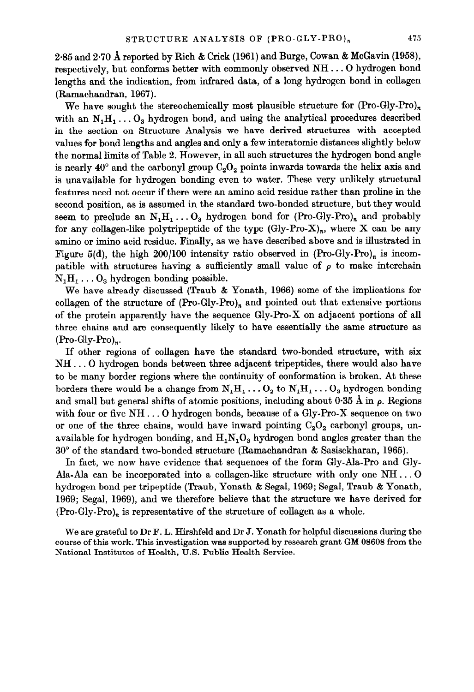2.85 and 2.70 A reported by Rich & Crick (1961) and Burge, Cowan & McGavin (1958), respectively, but conforms better with commonly observed NH. . . 0 hydrogen bond lengths and the indication, from infrared data, of a long hydrogen bond in collagen (Ramachandran, 1967).

We have sought the stereochemically most plausible structure for  $(Pro-Gly-Pro)<sub>n</sub>$ with an  $N_1H_1 \ldots O_3$  hydrogen bond, and using the analytical procedures described in the section on Structure Analysis we have derived structures with accepted values for bond lengths and angles and only a few interatomic distances slightly below the normal limits of Table 2. However, in all such structures the hydrogen bond angle is nearly 40° and the carbonyl group  $C_2O_2$  points inwards towards the helix axis and is unavailable for hydrogen bonding even to water. These very unlikely structural features need not occur if there were an amino acid residue rather than proline in the second position, as is assumed in the standard two-bonded structure, but they would seem to preclude an  $N_1H_1 \ldots O_3$  hydrogen bond for (Pro-Gly-Pro), and probably for any collagen-like polytripeptide of the type  $(Gly-Pro-X)<sub>n</sub>$ , where X can be any amino or imino acid residue. Finally, as we have described above and is illustrated in Figure 5(d), the high 200/100 intensity ratio observed in  $(Pro-Gly-Pro)<sub>n</sub>$  is incompatible with structures having a sufficiently small value of  $\rho$  to make interchain  $N_1H_1 \ldots O_3$  hydrogen bonding possible.

We have already discussed (Traub & Yonath, 1966) some of the implications for collagen of the structure of  $(Pro-Gly-Pro)_n$  and pointed out that extensive portions of the protein apparently have the sequence Gly-Pro-X on adjacent portions of all three chains and are consequently likely to have essentially the same structure as (Pro-Gly-Pro),.

If other regions of collagen have the standard two-bonded structure, with six NH . . . 0 hydrogen bonds between three adjacent tripeptides, there would also have to be many border regions where the continuity of conformation is broken. At these borders there would be a change from  $N_1H_1 \ldots O_2$  to  $N_1H_1 \ldots O_3$  hydrogen bonding and small but general shifts of atomic positions, including about  $0.35 \text{ Å}$  in  $\rho$ . Regions with four or five NH. . . 0 hydrogen bonds, because of a Gly-Pro-X sequence on two or one of the three chains, would have inward pointing  $C_2O_2$  carbonyl groups, unavailable for hydrogen bonding, and  $H_1N_1O_3$  hydrogen bond angles greater than the 30" of the standard two-bonded structure (Ramachandran & Sasisekharan, 1965).

In fact, we now have evidence that sequences of the form Gly-Ala-Pro and Gly-Ala-Ala can be incorporated into a collagen-like structure with only one NH. . . 0 hydrogen bond per tripeptide (Traub, Yonath 6 Segal, 1969; Segal, Traub & Yonath, 1969; Segal, 1969), and we therefore believe that the structure we have derived for  $(Pro-Gly-Pro)<sub>n</sub>$  is representative of the structure of collagen as a whole.

We are grateful to Dr F. L. Hirshfeld and Dr J. Yonath for helpful discussions during the course of this work. This investigation was supported by research grant GM 08608 from the National Institutes of Health, U.S. Public Health Service.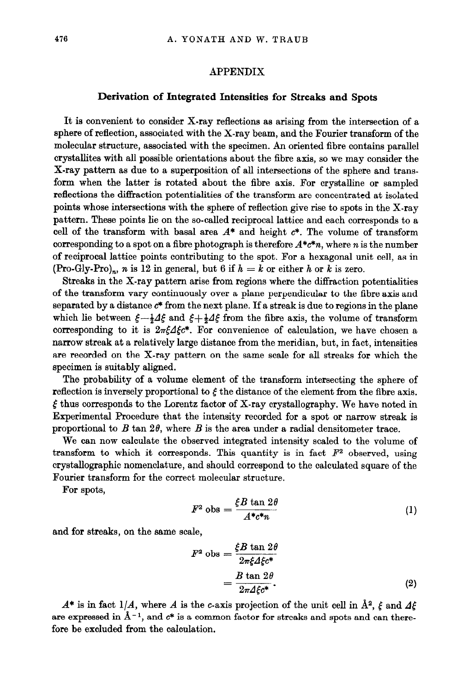## APPENDIX

#### Derivation of Integrated Intensities for Streaks and Spots

It is convenient to consider X-ray reflections as arising from the intersection of a sphere of reflection, associated with the X-ray beam, and the Fourier transform of the molecular structure, associated with the specimen. An oriented fibre contains parallel crystallites with all possible orientations about the fibre axis, so we may consider the X-ray pattern as due to a superposition of all intersections of the sphere and transform when the latter is rotated about the fibre axis. For crystalline or sampled reflections the diffraction potentialities of the transform are concentrated at isolated points whose intersections with the sphere of reflection give rise to spots in the X-ray pattern. These points lie on the so-called reciprocal lattice and each corresponds to a cell of the transform with basal area  $A^*$  and height  $c^*$ . The volume of transform corresponding to a spot on a fibre photograph is therefore  $A^*c^*n$ , where n is the number of reciprocal lattice points contributing to the spot. For a hexagonal unit cell, as in (Pro-Gly-Pro)<sub>n</sub>, n is 12 in general, but 6 if  $h = k$  or either h or k is zero.

Streaks in the X-ray pattern arise from regions where the diffraction potentialities of the transform vary continuously over a plane perpendicular to the fibre axis and separated by a distance  $c^*$  from the next plane. If a streak is due to regions in the plane which lie between  $\xi-\frac{1}{2}4\xi$  and  $\xi+\frac{1}{2}4\xi$  from the fibre axis, the volume of transform corresponding to it is  $2\pi\xi\Delta\xi c^*$ . For convenience of calculation, we have chosen a narrow streak at a relatively large distance from the meridian, but, in fact, intensities are recorded on the X-ray pattern on the same scale for all streaks for which the specimen is suitably aligned.

The probability of a volume element of the transform intersecting the sphere of reflection is inversely proportional to  $\xi$  the distance of the element from the fibre axis.  $\xi$  thus corresponds to the Lorentz factor of X-ray crystallography. We have noted in Experimental Procedure that the intensity recorded for a spot or narrow streak is proportional to  $B$  tan  $2\theta$ , where  $B$  is the area under a radial densitometer trace.

We can now calculate the observed integrated intensity scaled to the volume of transform to which it corresponds. This quantity is in fact  $F<sup>2</sup>$  observed, using crystallographic nomenclature, and should correspond to the calculated square of the Fourier transform for the correct molecular structure.

For spots,

$$
F^2 \text{ obs} = \frac{\xi B \tan 2\theta}{A^* c^* n} \tag{1}
$$

and for streaks, on the same scale,

$$
F^2 \text{ obs} = \frac{\xi B \tan 2\theta}{2\pi \xi \Delta \xi c^*}
$$

$$
= \frac{B \tan 2\theta}{2\pi \Delta \xi c^*}.
$$
(2)

 $A^*$  is in fact 1/A, where A is the c-axis projection of the unit cell in  $\AA^2$ ,  $\xi$  and  $A\xi$ are expressed in  $\AA^{-1}$ , and  $c^*$  is a common factor for streaks and spots and can therefore be excluded from the calculation.